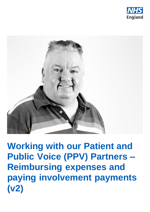



**Working with our Patient and Public Voice (PPV) Partners – Reimbursing expenses and paying involvement payments (v2)**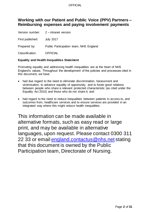# **Working with our Patient and Public Voice (PPV) Partners – Reimbursing expenses and paying involvement payments**

|                  | Version number: 2 - intranet version   |
|------------------|----------------------------------------|
| First published: | <b>July 2017</b>                       |
| Prepared by:     | Public Participation team, NHS England |
| Classification:  | <b>OFFICIAL</b>                        |

#### **Equality and Health Inequalities Statement**

Promoting equality and addressing health inequalities are at the heart of NHS England's values. Throughout the development of the policies and processes cited in this document, we have:

- had due regard to the need to eliminate discrimination, harassment and victimisation, to advance equality of opportunity, and to foster good relations between people who share a relevant protected characteristic (as cited under the Equality Act 2010) and those who do not share it; and
- had regard to the need to reduce inequalities between patients in access to, and outcomes from, healthcare services and to ensure services are provided in an integrated way where this might reduce health inequalities.

This information can be made available in alternative formats, such as easy read or large print, and may be available in alternative languages, upon request. Please contact 0300 311 22 33 or email [england.contactus@nhs.net](mailto:england.contactus@nhs.net) stating that this document is owned by the Public Participation team, Directorate of Nursing.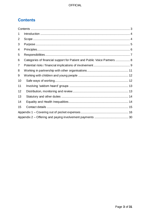# <span id="page-2-0"></span>**Contents**

| 1  |                                                                          |  |
|----|--------------------------------------------------------------------------|--|
| 2  |                                                                          |  |
| 3  |                                                                          |  |
| 4  |                                                                          |  |
| 5  |                                                                          |  |
| 6  | Categories of financial support for Patient and Public Voice Partners  8 |  |
| 7  |                                                                          |  |
| 8  |                                                                          |  |
| 9  |                                                                          |  |
| 10 |                                                                          |  |
| 11 |                                                                          |  |
| 12 |                                                                          |  |
| 13 |                                                                          |  |
| 14 |                                                                          |  |
| 15 |                                                                          |  |
|    |                                                                          |  |
|    |                                                                          |  |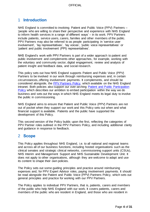# <span id="page-3-0"></span>1 **Introduction**

NHS England is committed to involving Patient and Public Voice (PPV) Partners – 'people who are willing to share their perspective and experience with NHS England to inform health services in a range of different ways' – in its work. PPV Partners include patients, service users, carers, families and other members of the public. PPV Partners may also be referred to as people participating in 'service user involvement', 'lay representatives', 'lay voices', 'public voice representatives' or 'patient and public involvement (PPI) representatives'.

NHS England's work with PPV Partners is part of a wider approach to patient and public involvement and complements other approaches, for example, working with the voluntary and community sector, digital engagement, review and analysis of patient insight and feedback data, and social research.

This policy sets out how NHS England supports Patient and Public Voice (PPV) Partners to be involved in our work through reimbursing expenses and, in certain circumstances, offering involvement payments. It complements, and should be considered alongside, the [PPV Partners Policy,](https://nhsengland.sharepoint.com/TeamCentre/Nursing/PPPI/Pages/patientreps.aspx) which available on the NHS England intranet. Both policies also support our over-arching [Patient and Public Participation](https://www.england.nhs.uk/publication/patient-and-public-participation-policy/)  [Policy](https://www.england.nhs.uk/publication/patient-and-public-participation-policy/) which describes our ambition to embed participation within the way we do business and sets out the ways in which NHS England meets its legal duty to involve the public in commissioning.

NHS England aims to ensure that Patient and Public Voice (PPV) Partners are not out of pocket when they support our work and this Policy sets out when and what financial support is available. Patients and the public have supported the development of this Policy.

This second version of the Policy builds upon the first, reflecting the categories of PPV Partner roles outlined in the PPV Partners Policy, and including additional clarity and guidance in response to feedback.

# <span id="page-3-1"></span>2 **Scope**

This Policy applies throughout NHS England, i.e. to all national and regional teams and across all of our business functions, including hosted organisations such as the clinical senates and strategic clinical networks, commissioning support units (CSUs), NHS Interim and Management Support and NHS Sustainable Development Unit. It does not apply to other organisations, although they are welcome to adapt and use its content to shape their own policies.

The Policy sets out some guiding principles and practice around reimbursing expenses and, for PPV Expert Advisor roles, paying involvement payments. It should be read alongside the Patient and Public Voice (PPV) Partners Policy, which sets out general principles and practice for working with our PPV Partners.

The Policy applies to individual PPV Partners, that is, patients, carers and members of the public who help NHS England with our work. It covers patients, carers and members of the public who are resident in England, and those who are resident in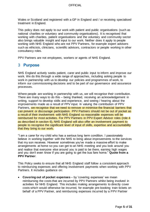Wales or Scotland and registered with a GP in England and / or receiving specialised treatment in England.

This policy does not apply to our work with patient and public organisations (such as national charities or voluntary and community organisations). It is recognised that working with charities, patient organisations and the voluntary and community sector also brings valuable insight and input to our work. Neither does it apply to people working with NHS England who are not PPV Partners, for example expert advisers such as ethicists, clinicians, scientific advisors, contractors or people working in other consultancy roles.

PPV Partners are not employees, workers or agents of NHS England.

## <span id="page-4-0"></span>3 **Purpose**

NHS England actively seeks patient, carer and public input to inform and improve our work. We do this through a wide range of approaches, including asking people to work in partnership with us to develop our policies and programmes of work, to inform our commissioning decisions and to be part of our governance and assurance processes.

Where people are working in partnership with us, we will recognise their contribution. There are many ways to do this – being thanked, receiving an acknowledgement in writing, support to develop skills and experience, and seeing / hearing about the improvements made as a result of PPV input. In valuing the contribution of PPV Partners, we recognise that we need to remove or minimise the financial barriers that can prevent or discourage participation. PPV Partners should not be out of pocket as a result of their involvement with NHS England so reasonable expenses will be reimbursed for most activities. For PPV Partners in PPV Expert Advisor roles (role 4 as described in section 6), NHS England will also offer an involvement payment to people to recognise the significant level of input of skills, expertise and accountability that they bring to our work.

"I am a carer for my child who has a serious long term condition. I passionately believe in working together with the NHS to bring about improvements to the services that my son receives. However sometimes you've made a massive effort to make arrangements at home so you can get to an NHS meeting and you look around you and realise that everyone else around you is paid to be there, earning high wages and you don't even know if you are going to get the bus fare home." **Quote from a PPV Partner**.

This Policy seeks to ensure that all NHS England staff follow a consistent approach to reimbursing expenses and offering involvement payments when working with PPV Partners. It includes guidance on:

 **Covering out of pocket expenses** – by 'covering expenses' we mean reimbursing the costs that are incurred by PPV Partners whilst being involved in activities for NHS England. This includes making arrangements to directly cover costs which would otherwise be incurred, for example pre-booking train tickets on behalf of a PPV Partner, and reimbursing expenses incurred by a PPV Partner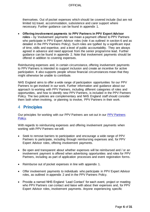themselves. Out of pocket expenses which should be covered include (but are not limited to) travel, accommodation, subsistence and carer support where necessary. Further guidance can be found in appendix 1.

 **Offering involvement payments to PPV Partners in PPV Expert Advisor roles** – by 'involvement payments' we mean a payment offered to PPV Partners who participate in PPV Expert Advisor roles (role 4 as outlined in section 6 and as detailed in the PPV Partners Policy). Such roles are typified by a significant input of time, skills and expertise, and a level of public accountability. They are always agreed in advance and need approval from the senior programme lead. Further guidance can be found in appendix 2. Note that involvement payments should be offered in addition to covering expenses.

Reimbursing expenses and, in certain circumstance, offering involvement payments to PPV Partners is intended to support inclusion and create an incentive for active participation. It also supports people whose financial circumstances mean that they might otherwise be unable to contribute.

NHS England aims to offer a wide range of participation opportunities for our PPV Partners to get involved in our work. Further information and guidance about our approach to working with PPV Partners, including different categories of roles and opportunities, and how to identify new PPV Partners, is included in the PPV Partners Policy. The two policies are complementary and NHS England staff should consider them both when involving, or planning to involve, PPV Partners in their work.

## <span id="page-5-0"></span>4 **Principles**

Our principles for working with our PPV Partners are set out in our [PPV Partners](https://nhsengland.sharepoint.com/TeamCentre/Nursing/PPPI/Pages/patientreps.aspx)  [Policy.](https://nhsengland.sharepoint.com/TeamCentre/Nursing/PPPI/Pages/patientreps.aspx)

With regards to reimbursing expenses and offering involvement payments when working with PPV Partners we will:

- Seek to remove barriers to participation and encourage a wide range of PPV Partners to participate, including through reimbursing expenses and, for PPV Expert Advisor roles, offering involvement payments.
- Be open and transparent about whether expenses will be reimbursed and / or an involvement payment is offered when advertising opportunities and roles for PPV Partners, including as part of application processes and event registration forms.
- Reimburse out of pocket expenses in line with appendix 1.
- Offer involvement payments to individuals who participate in PPV Expert Advisor roles, as outlined in appendix 2 and in the PPV Partners Policy.
- Provide a named NHS England 'Lead Contact' for each event, project or meeting who PPV Partners can contact and liaise with about their expenses and, for PPV Expert Advisor roles, involvement payments. Anyone experiencing specific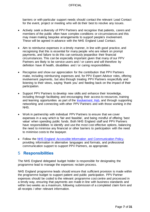barriers or with particular support needs should contact the relevant Lead Contact for the event, project or meeting who will do their best to resolve any issues.

- Actively seek a diversity of PPV Partners and recognise that patients, carers and members of the public often have complex conditions or circumstances and this may mean making bespoke arrangements to support people's involvement. These will be agreed in advance with the NHS England Lead Contact.
- Aim to reimburse expenses in a timely manner, in line with good practice, and recognising that this is essential for many people who are reliant on prompt payments, and failure to do this can seriously jeopardise their financial circumstances. This can be especially important given that many of our PPV Partners are likely to be service users and / or carers and will therefore by definition have ill health, disabilities and / or caring responsibilities.
- Recognise and show our appreciation for the contribution that PPV Partners make, including reimbursing expenses and, for PPV Expert Advisor roles, offering involvement payments, but also through treating PPV Partners respectfully and listening to their views, saying 'thank you' and feeding back on the impact of their participation.
- Support PPV Partners to develop new skills and enhance their knowledge, including through facilitating and encouraging their access to resources, training and learning opportunities as part of the [Involvement Hub,](https://www.england.nhs.uk/participation/) and through supporting networking and connecting with other PPV Partners and with those working in the NHS.
- Work in partnership with individual PPV Partners to ensure that we cover expenses in a way which is 'fair and feasible', and being mindful of offering 'best value' when spending public funds. Both NHS England staff and PPV Partners have responsibilities to identify and use the most cost effective options, balancing the need to minimise any financial or other barriers to participation with the need to minimise costs to the taxpayer.
- Follow the [NHS England Accessible Information and Communication Policy,](https://www.england.nhs.uk/wp-content/uploads/2016/11/nhse-access-info-comms-policy.docx) providing information in alternative languages and formats, and professional communication support to support PPV Partners, as appropriate.

## <span id="page-6-0"></span>5 **Responsibilities**

The NHS England delegated budget holder is responsible for designating the programme lead to manage the expenses reclaim process.

NHS England programme leads should ensure that sufficient provision is made within the programme budget to support patient and public participation. PPV Partner expenses should be coded to the relevant programme cost centre and processed in a timely way, ensuring that payments are made in line with business standards and within two weeks as a maximum, following submission of a completed claim form and all receipts / other relevant information.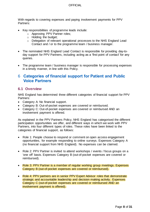With regards to covering expenses and paying involvement payments for PPV Partners:

- Key responsibilities of programme leads include:
	- o Approving PPV Partner roles;
	- o Holding the budget;
	- o Delegation of relevant operational processes to the NHS England Lead Contact and / or to the programme team / business manager.
- The nominated NHS England Lead Contact is responsible for providing day-today support for PPV Partners, including acting as a 'first point of contact' for any queries.
- The programme team / business manager is responsible for processing expenses in a timely manner, in line with this Policy.

# <span id="page-7-0"></span>6 **Categories of financial support for Patient and Public Voice Partners**

### **6.1 Overview**

NHS England has determined three different categories of financial support for PPV Partners:

- Category A: No financial support.
- Category B: Out-of-pocket expenses are covered or reimbursed.
- Category C: Out-of-pocket expenses are covered or reimbursed AND an involvement payment is offered.

As explained in the PPV Partners Policy, NHS England has categorised the different participation opportunities we offer, and different ways in which we work with PPV Partners, into four different types of roles. These roles have been linked to the categories of financial support, as follows:

- Role 1: People choose to respond or comment on open access engagement opportunities, for example responding to online surveys. Expenses Category A (no financial support from NHS England). No expenses can be claimed.
- Role 2: PPV Partner is invited to attend workshops / events / focus groups on a 'one off' basis. Expenses Category B (out-of-pocket expenses are covered or reimbursed).
- Role 3: PPV Partner is a member of regular working group meetings. Expenses Category B (out-of-pocket expenses are covered or reimbursed).
- Role 4: PPV partners are in senior PPV Expert Advisor roles that demonstrate strategic and accountable leadership and decision making activity. Expenses Category C (out-of-pocket expenses are covered or reimbursed AND an involvement payment is offered).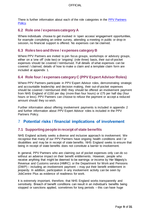There is further information about each of the role categories in the [PPV Partners](https://nhsengland.sharepoint.com/TeamCentre/Nursing/PPPI/Pages/patientreps.aspx)  [Policy.](https://nhsengland.sharepoint.com/TeamCentre/Nursing/PPPI/Pages/patientreps.aspx)

### **6.2 Role one / expenses category A**

Where individuals choose to get involved in 'open access' engagement opportunities, for example completing an online survey, attending a meeting in public or drop-in session, no financial support is offered. No expenses can be claimed.

## **6.3 Roles two and three / expenses category B**

Where PPV Partners are invited to join focus groups, workshops or advisory groups, either on a 'one off' (role two) or 'ongoing' (role three) basis, their out-of-pocket expenses should be covered / reimbursed. Full details of what expenses can be covered / claimed, details of how to make a claim and a template claim form are included at appendix 1.

### **6.4 Role four / expenses category C (PPV Expert Advisor Roles)**

Where PPV Partners participate in PPV Expert Advisor roles, demonstrating strategic and accountable leadership and decision making, their out-of-pocket expenses should be covered / reimbursed AND they should be offered an involvement payment from NHS England of £150 per day (more than four hours) or £75 per half day (four hours or less). PPV Partners can choose to refuse the payment or accept a reduced amount should they so wish.

Further information about offering involvement payments is included in appendix 2 and further information about PPV Expert Advisor roles is included in the PPV Partners Policy.

# <span id="page-8-0"></span>7 **Potential risks / financial implications of involvement**

## **7.1 Supporting people in receipt of state benefits**

NHS England actively seeks a diverse and inclusive approach to involvement. We recognise that many of our PPV Partners have ongoing health conditions and / or disabilities and may be in receipt of state benefits. NHS England seeks to ensure that being in receipt of state benefits does not constitute a barrier to involvement.

In general, PPV Partners who are claiming out of pocket expenses only can do so without an adverse impact on their benefit entitlements. However, people who receive anything that might be deemed to be earnings or income by Her Majesty's Revenue and Customs service (HMRC) or the Department for Work and Pensions (DWP) – including an involvement payment – may put their benefit entitlement in jeopardy. In addition, participation in any involvement activity can be seen by JobCentre Plus as evidence of readiness for work.

It is extremely important, therefore, that NHS England works transparently and sensitively. Breach of benefit conditions can result in an individual's benefits being stopped or sanctions applied, sometimes for long periods – this can have huge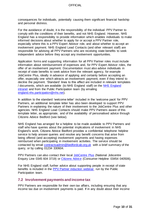consequences for individuals, potentially causing them significant financial hardship and personal distress.

For the avoidance of doubt, it is the responsibility of the individual PPV Partner to comply with the conditions of their benefits, and not NHS England. However, NHS England has a responsibility to provide information which enables individuals to make informed decisions about whether to apply for or accept a PPV Partner role, especially where this is a PPV Expert Advisor role, and about whether to accept an involvement payment. NHS England Lead Contacts (and other relevant staff) are responsible for advising all PPV Partners who are receiving state benefits to seek independent advice before they accept any involvement opportunities.

Application forms and supporting information for all PPV Partner roles must include information about reimbursement of expenses and, for PPV Expert Advisor roles, the offer of an involvement payment. Documentation must also advise individuals in receipt of state benefits to seek advice from the relevant agency, for example JobCentre Plus, ideally in advance of applying and certainly before accepting an offer, especially one which attracts an involvement payment, even if they intend to decline the payment. 'Standard' lines to this effect are included in relevant templates / documents, which are available (to NHS England staff) on the [NHS England](https://nhsengland.sharepoint.com/TeamCentre/Nursing/PPPI/Recruitment%20templates/Forms/AllItems.aspx)  [intranet](https://nhsengland.sharepoint.com/TeamCentre/Nursing/PPPI/Recruitment%20templates/Forms/AllItems.aspx) and from the Public Participation team (by emailing [england.nhs.participation@nhs.net\).](mailto:england.nhs.participation@nhs.net)

In addition to the standard 'welcome letter' included in the 'welcome pack' for PPV Partners, an additional template letter has also been developed to support PPV Partners in explaining the nature of their involvement to the JobCentre Plus and other agencies. NHS England Lead Contacts should make PPV Partners aware of this template letter, as appropriate, and of the availability of personalised advice through Citizens Advice Bedford (see below).

NHS England has arranged for a helpline to be made available to PPV Partners and staff who have queries about the potential implications of involvement in NHS England's work. Citizens Advice Bedford provides a confidential telephone helpline service to help answer queries and resolve any benefit concerns that arise from being offered (and accepting) involvement payments and having expenses reimbursed when participating in involvement activities. The service should be contacted by email [contractsadmin@bedfordcab.org.uk](mailto:contractsadmin@bedfordcab.org.uk) with a brief summary of the query, or by calling 01234 330604.

PPV Partners can also contact their local [JobCentre Plus](http://www.gov.uk/contact-jobcentre-plus) (National Jobcentre Enquiry Line 0345 604 3719) or [Citizens Advice](http://www.citizensadvice.org.uk/) (Consumer Helpline 03454 040506).

For NHS England staff, further advice about supporting people in receipt of state benefits is included in the [PPV Partner induction webinar,](https://nhsengland.sharepoint.com/Knowledge/News/Pages/supporting-ppv-partners.aspx) run by the Public Participation team.

### **7.2 Involvement payments and income tax**

PPV Partners are responsible for their own tax affairs, including ensuring that any income tax due on involvement payments is paid. If in any doubt about their income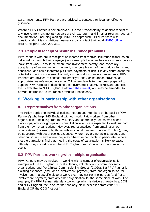tax arrangements, PPV Partners are advised to contact their local tax office for guidance.

Where a PPV Partner is self-employed, it is their responsibility to declare receipt of any involvement payment(s) as part of their tax return, and in other relevant records / documentation, including alerting HMRC as appropriate. PPV Partners with questions about tax or National Insurance can contact their local [HMRC office](http://www.direct.gov.uk/hmrc) (HMRC Helpline 0300 200 3311).

## **7.3 People in receipt of health insurance premiums**

PPV Partners who are in receipt of an income from medical insurance (either as an individual or through their employer) – for example because they are currently on sick leave from work – should be aware that involvement activity, and especially acceptance of an involvement payment, may be a breach of their policy's terms and conditions, and could therefore put future payments at risk. If in any doubt about the potential impact of involvement activity on medical insurance arrangements, PPV Partners are advised to contact their employer and / or insurance provider, as appropriate. As referenced in section 7.1, a template letter has been prepared to support PPV Partners in describing their involvement activity to relevant agencies – this is available to NHS England staff [from the intranet,](https://nhsengland.sharepoint.com/TeamCentre/Nursing/PPPI/Recruitment%20templates/Forms/AllItems.aspx) and may be amended to provide information to insurance providers if necessary.

# <span id="page-10-0"></span>8 **Working in partnership with other organisations**

## **8.1 Representatives from other organisations**

The Policy applies to individual patients, carers and members of the public ('PPV Partners') who help NHS England with our work. Paid workers from other organisations, including from the voluntary and community sector, who attend workshops, advisory groups and consultation events are expected to seek support from their own organisations. However, representatives from small, user-led organisations (for example, those with an annual turnover of under £1million), may be supported with out of pocket expenses where they are not able to access any other public funds and where they may otherwise be unable to participate. Where these organisations find that meeting the costs of participation is likely to cause difficulty, they should contact the NHS England Lead Contact for the meeting or event.

### **8.2 PPV Partners working with multiple organisations**

PPV Partners may be involved in working with a number of organisations, for example with NHS England, a local authority, voluntary and community sector organisations and / or Clinical Commissioning Groups (CCGs). If a PPV Partner is claiming expenses (and / or an involvement payment) from one organisation for involvement in a specific piece of work, they may not claim expenses (and / or an involvement payment) from any other organisation for the same piece of work. For example, if a PPV Partner attends a workshop which is delivered jointly by a CCG and NHS England, the PPV Partner can only claim expenses from either NHS England OR the CCG (not both).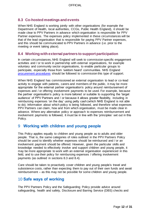## **8.3 Co-hosted meetings and events**

When NHS England is working jointly with other organisations (for example the Department of Health, local authorities, CCGs, Public Health England), it should be made clear to PPV Partners in advance which organisation is responsible for PPV Partner expenses. The expenses policy implemented in these circumstances will be that of the lead organisation that is responsible for paying PPV Partner expenses, and this should be communicated to PPV Partners in advance (i.e. prior to the meeting or event taking place).

## **8.4 Working with external partners to support participation**

In certain circumstances, NHS England will seek to commission specific engagement activities and / or to work in partnership with external organisations, for example voluntary and community sector organisations, to enable particular groups to participate, especially those from 'seldom heard' communities. NHS England [procurement procedures](https://nhsengland.sharepoint.com/TeamCentre/Finance/FinancialControl/p/Pages/procurement-policy.aspx) should be followed to commission this type of support.

When NHS England has commissioned an external organisation to lead or co-lead activity to engage with patients, carers and members of the public, it may be more appropriate for the external partner organisation's policy around reimbursement of expenses and / or offering involvement payments to be used. For example, because the partner organisation's policy is more tailored or suitable to supporting the 'target audience' of PPV Partners and / or because it allows greater flexibility, including in reimbursing expenses 'on the day' using petty cash (which NHS England is not able to do). Information about which policy is being followed, and therefore what expenses PPV Partners can claim, how and from which organisation, must be made clear in advance. Where any alternative policy or approach to expenses reimbursement and involvement payments is followed, it must be in line with the 'principles' set out in this Policy.

## <span id="page-11-0"></span>9 **Working with children and young people**

This Policy applies equally to children and young people as to adults and older people. That is, the same categories of roles outlined in the PPV Partners Policy should be used to identify whether expenses should be reimbursed and / or an involvement payment should be offered. However, given the particular skills and knowledge needed to effectively involve and support children and young people, it may be more appropriate to work with an external organisation experienced in this field, and to use their policy for reimbursing expenses / offering involvement payments (as outlined in sections 8.3 and 8.4).

Care should be taken to proactively cover children and young people's travel and subsistence costs, rather than expecting them to pay out of their own funds and await reimbursement – as this may not be possible for some children and young people.

## <span id="page-11-1"></span>10 **Safe ways of working**

The PPV Partners Policy and the Safeguarding Policy provide advice around safeguarding, health and safety, Disclosure and Barring Service (DBS) checks and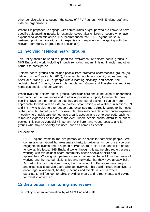other considerations to support the safety of PPV Partners, NHS England staff and external organisations.

Where it is proposed to engage with communities or groups who are known to have specific safeguarding needs, for example looked after children or people who have experienced domestic abuse, it is recommended that NHS England works in partnership with organisations with expertise and experience in engaging with the relevant community or group (see section 8.4).

## <span id="page-12-0"></span>11 **Involving 'seldom heard' groups**

This Policy should be used to support the involvement of 'seldom heard' groups in NHS England's work, including through removing and minimising financial and other barriers to participation.

'Seldom heard' groups can include people from 'protected characteristic' groups (as defined by the Equality Act 2010), for example people who identify as lesbian, gay, bisexual or trans (LGBT) or people with a learning disability, and people from 'inclusion health' groups, for example people from Gypsy and Traveller communities, homeless people and sex workers.

When involving 'seldom heard' groups, particular care should be taken to understand their particular circumstances and to offer appropriate support, for example, prebooking travel on their behalf so that they are not out of pocket. It can be more appropriate to work with an external partner organisation – as outlined in sections 8.3 and 8.4 – who is able to offer support and expenses more directly suited to the needs of the particular 'target group'. For example, they may be able to reimburse expenses in cash where individuals do not have a bank account and / or to use 'petty cash' to reimburse expenses on the day of the event where people cannot afford to be out of pocket. This can be especially important for children and young people, and for groups who may be socially excluded, such as homeless people.

For example:

"NHS England wants to improve primary care access for homeless people. We commission a national homelessness charity to deliver a number of service user engagement events and to support service users to join a task and finish group to look at this issue. NHS England works through this partnership route because working with this seldom heard community needs specialist skills and approaches. Working with partners means that we can benefit from their ways of working and the trusted relationships and networks that they have already built. As part of this commissioned work, the charity would offer appropriate support and expenses to service users who get involved. This could include incentives to encourage involvement, holding meetings and events in venues where participants will feel comfortable, providing meals and refreshments, and paying for travel in advance."

## <span id="page-12-1"></span>12 **Distribution, monitoring and review**

This Policy is for implementation by all NHS England staff.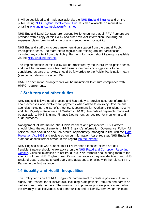It will be publicised and made available via the [NHS England intranet](https://nhsengland.sharepoint.com/) and on the public facing [NHS England Involvement Hub.](https://www.england.nhs.uk/participation/) It is also available on request by emailing [england.nhs.participation@nhs.net.](mailto:england.nhs.participation@nhs.net) 

NHS England Lead Contacts are responsible for ensuring that all PPV Partners are provided with a copy of this Policy and other relevant information, including an expenses claim form, in advance of any meeting, event or activity.

NHS England staff can access implementation support from the central Public Participation team. The team offers regular staff training around participation, including key content from this Policy. Further information about training is available via the [NHS England intranet.](https://nhsengland.sharepoint.com/TeamCentre/Nursing/PPPI/Pages/Participation-training.aspx)

The implementation of this Policy will be monitored by the Public Participation team, and it will be reviewed on a biannual basis. Comments or suggestions to be considered as part of a review should be forwarded to the Public Participation team (see contact details in section 15).

HMRC dispensation arrangements will be maintained to ensure compliance with HMRC requirements.

## <span id="page-13-0"></span>13 **Statutory and other duties**

NHS England follows good practice and has a duty to provide accurate information about expenses and involvement payments when asked to do so by Government agencies including the Benefits Agency, Department for Work and Pensions (DWP) and Her Majesty's Revenue and Customs (HMRC). Records of payments made will be available to NHS England Finance Department as required for monitoring and audit purposes.

Management of information about PPV Partners and prospective PPV Partners should follow the requirements of NHS England's Information Governance Policy. All personal data should be securely stored, appropriately managed in line with the [Data](http://www.legislation.gov.uk/ukpga/1998/29/contents)  [Protection Act 1998](http://www.legislation.gov.uk/ukpga/1998/29/contents) and registered on our Information Asset register. NHS England staff can access further advice in this regard [via the intranet.](https://nhsengland.sharepoint.com/TeamCentre/TCO/infogov/Pages/Information-Asset-Management-.aspx)

NHS England staff who suspect that PPV Partner expenses claims are of a fraudulent nature should follow advice on the [NHS Fraud and Corruption Reporting](http://www.reportnhsfraud.nhs.uk/)  [website.](http://www.reportnhsfraud.nhs.uk/) Genuine mistakes are not fraud, but PPV Partners should bring them to the attention of their NHS England Lead Contact as soon as they are identified, and NHS England Lead Contacts should query any apparent anomalies with the relevant PPV Partner in the first instance.

## <span id="page-13-1"></span>14 **Equality and Health Inequalities**

This Policy forms part of NHS England's commitment to create a positive culture of dignity and respect for all individuals, including staff, patients, families and carers as well as community partners. The intention is to promote positive practice and value the diversity of all individuals and communities and to identify, remove or minimise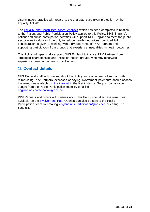discriminatory practice with regard to the characteristics given protection by the Equality Act 2010.

The [Equality and Health Inequalities Analysis](https://www.england.nhs.uk/wp-content/uploads/2016/04/equality-hlth-inequalities.pdf) which has been completed in relation to the Patient and Public Participation Policy applies to this Policy. NHS England's patient and public participation activities will support NHS England to meet the public sector equality duty and the duty to reduce health inequalities, provided full consideration is given to working with a diverse range of PPV Partners and supporting participation from groups that experience inequalities in health outcomes.

This Policy will specifically support NHS England to involve PPV Partners from 'protected characteristic' and 'inclusion health' groups, who may otherwise experience financial barriers to involvement.

## <span id="page-14-0"></span>15 **Contact details**

NHS England staff with queries about this Policy and / or in need of support with reimbursing PPV Partners' expenses or paying involvement payments should access the resources available [on the intranet](https://nhsengland.sharepoint.com/TeamCentre/Nursing/PPPI/Pages/PPVexpenses.aspx) in the first instance. Support can also be sought from the Public Participation team by emailing [england.nhs.participation@nhs.net.](mailto:england.nhs.participation@nhs.net)

PPV Partners and others with queries about this Policy should access resources available on the [Involvement Hub.](https://www.england.nhs.uk/participation/) Queries can also be sent to the Public Participation team by emailing [england.nhs.participation@nhs.net](mailto:england.nhs.participation@nhs.net) or calling 0113 8250861.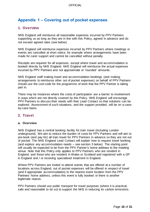# <span id="page-15-0"></span>**Appendix 1 – Covering out of pocket expenses**

## **1. Overview**

NHS England will reimburse all reasonable expenses incurred by PPV Partners supporting us as long as they are in line with this Policy, agreed in advance and do not exceed agreed rates (see below).

NHS England will reimburse expenses incurred by PPV Partners where meetings or events are cancelled at short notice, for example where arrangements have been made for carer support and cannot be cancelled without penalty.

Receipts are required for all expenses, except where travel and accommodation is booked directly by NHS England. NHS England will reimburse the actual expenses incurred by PPV Partners and not approximate or 'rounded' amounts.

NHS England staff making travel and accommodation bookings (and making arrangements to reimburse other out of pocket expenses) on behalf of PPV Partners should use the cost code for the programme of work that the PPV Partner is taking part in.

There may be instances where the costs of participation are a barrier to involvement in ways which are not directly covered by this Policy. NHS England will encourage PPV Partners to discuss their needs with their Lead Contact so that solutions can be explored. Assessment of such situations, and the support provided, will be on a caseby-case basis.

## **2. Travel**

### **a. Overview**

NHS England has a central booking facility for train travel (including London underground). We aim to reduce the burden of costs for PPV Partners and will aim to pre-book (and pay for) all train travel for PPV Partners in advance so they are not out of pocket. The NHS England Lead Contact will explain how to request travel booking (and explore any accommodation needs – see section 3 below). The starting point will usually be expected to be from the PPV Partner's home address to the meeting venue. Note that this Policy only applies to PPV Partners who are resident in England, and those who are resident in Wales or Scotland and registered with a GP in England and / or receiving specialised treatment in England.

Where PPV Partners are invited to attend events that are offered at a number of locations across England, out of pocket expenses will be offered in respect of travel (and if appropriate accommodation) to the nearest event location from the PPV Partners' home address, unless this event is fully booked or there is another legitimate reason.

PPV Partners should use public transport for travel purposes (where it is practical, safe and reasonable to do so) to support the NHS in reducing its carbon emissions.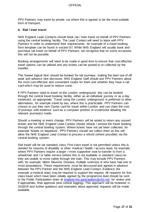PPV Partners may travel by private car where this is agreed to be the most suitable form of transport.

#### **b. Rail / train travel**

NHS England Lead Contacts should book rail / train travel on behalf of PPV Partners using the central booking facility. The Lead Contact will need to liaise with PPV Partners in order to understand their requirements. An example of a travel booking form template can be found in section 9.f. While NHS England will usually book and purchase rail travel on behalf of PPV Partners, we recognise that on some occasions this will not be possible.

Booking arrangements will need to be made in good time to ensure that cost effective travel options can be utilised and any tickets can be posted to or collected by the traveller.

The 'lowest logical fare' should be booked for rail journeys, making the best use of off peak and advance fare discounts. NHS England staff should ask PPV Partners about the most cost effective and convenient routes for them and whether they have a rail card which may be used to reduce costs.

If PPV Partners need to travel on the London underground, this can be booked through the central travel booking facility, either as an individual journey or as a day travelcard, as appropriate. Travel using the London underground is preferred to other alternatives, for example travel by taxi, where this is practicable. PPV Partners can choose to use their own Oyster card for travel within London and can claim the cost of journeys with evidence such as a computer printout or screenshot detailing the relevant journey(s) made.

Should a meeting or event change, PPV Partners will be asked to return any unused tickets and the NHS England Lead Contact should rebook / amend the travel booking through the central booking system. Where tickets have not yet been collected, for example 'tickets on departure', PPV Partners should not collect them as this will allow the NHS England Lead Contact to process a refund (where possible) via the central booking system.

Rail travel will be via standard class. First class travel is not permitted unless this is needed for reasons of disability or other medical / health / access need, for example, where PPV Partners require a larger / more supportive seat to transfer to from a wheelchair and / or table service (where this is not available in standard class) as they are unable to move safely through the train. This may include PPV Partners with, for example, Motor Neurone Disease, multiple sclerosis or who have had one or more amputations. These requirements must be discussed and agreed in advance between the PPV Partner and the NHS England Lead Contact. Evidence (for example a medical note) may be required to support the request. All requests for first class travel which have been initially agreed by the programme lead should be sent to the Public Participation team at [england.nhs.participation@nhs.net](mailto:england.nhs.participation@nhs.net) for review and, if appropriate, final approval (and central logging). This approach will be reviewed in 2018/19 and further guidance and examples about approved requests will be made available.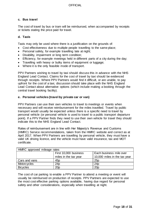### **c. Bus travel**

The cost of travel by bus or tram will be reimbursed, when accompanied by receipts or tickets stating the price paid for travel.

#### **d. Taxis**

Taxis may only be used where there is a justification on the grounds of:

- Cost effectiveness due to multiple people travelling to the same place;
- Personal safety, for example travelling late at night;
- Disability, impairment or long term condition;
- Efficiency, for example meetings held in different parts of a city during the day;
- Travelling with heavy or bulky items of equipment or luggage;
- Where it is the only feasible mode of transport.

PPV Partners wishing to travel by taxi should discuss this in advance with the NHS England Lead Contact. Claims for the cost of travel by taxi should be evidenced through receipts. Where PPV Partners would find it difficult, or are unable, to pay upfront for the cost of a taxi, discussion should take place with the NHS England Lead Contact about alternative options (which include making a booking through the central travel booking facility).

#### **e. Personal vehicles (travel by private car or van)**

PPV Partners can use their own vehicles to travel to meetings or events when necessary and will receive reimbursement for the miles travelled. Travel by public transport would usually be expected unless there is a specific need to travel by personal vehicle (or personal vehicle is used to travel to a public transport departure point). If a PPV Partner finds they need to use their own vehicle for travel they should indicate this to the NHS England Lead Contact.

Rates of reimbursement are in line with Her Majesty's Revenue and Customs (HMRC) Service recommendations, taken from the HMRC website and correct as at April 2017. When PPV Partners are travelling by personal vehicle, they must have a valid UK driving licence, and the vehicle must have valid insurance, tax and MOT certificate.

| HMRC approved mileage rates |                       |                              |  |
|-----------------------------|-----------------------|------------------------------|--|
| First 10,000 business       |                       | Each business mile over      |  |
|                             | miles in the tax year | 10,000 miles in the tax year |  |
| Cars and vans               | 45 <sub>p</sub>       | 25p                          |  |
| Motorcycles                 | 24p                   | 24p                          |  |
| <b>Bicycles</b>             | 20 <sub>D</sub>       | 20 <sub>p</sub>              |  |

The cost of car parking to enable a PPV Partner to attend a meeting or event will usually be reimbursed on production of receipts. PPV Partners are expected to use the most cost effective parking options available, having due regard for personal safety and other considerations, especially when travelling at night.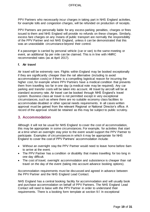PPV Partners who necessarily incur charges in taking part in NHS England activities, for example tolls and congestion charges, will be refunded on production of receipts.

PPV Partners are personally liable for any excess parking penalties, charges or fines issued to them and NHS England will provide no refunds on these charges. Similarly, excess fare charges on any means of public transport are normally the responsibility of the PPV Partner and not NHS England, unless it can be demonstrated that this was an unavoidable circumstance beyond their control.

If a passenger is carried by personal vehicle (car or van) to the same meeting or event, an additional 5p per mile can be claimed. This is in line with HMRC recommended rates (as at April 2017).

#### **f. Air travel**

Air travel will be extremely rare. Flights within England may be booked exceptionally if they are significantly cheaper than the rail alternative (including to avoid accommodation costs) or if there is a compelling logistical reason for incurring the higher cost, for example where PPV Partners have a medical condition that prevents them from travelling too far in one day (a medical note may be required). Any car parking and transfer costs will be taken into account. All travel by aircraft will be at standard economy rate. Air travel can be booked through NHS England's travel system. Business class air travel is not permitted except in very exceptional circumstances, such as where there are no suitable economy class facilities to accommodate disabled or other special needs requirements. In all cases written approval must be gained from the relevant Regional or National Director's office. A record of the approval should be retained as this may be subject to public scrutiny.

### **3. Accommodation**

Although it will not be usual for NHS England to cover the cost of accommodation, this may be appropriate in some circumstances. For example, for activities that start at a time when an overnight stay prior to the event would support the PPV Partner to participate. Examples of circumstances in which it may be appropriate for NHS England to cover the cost of PPV Partners' accommodation include:

- Without an overnight stay the PPV Partner would need to leave home before 6am to arrive at the event.
- The PPV Partner has a condition or disability that makes travelling for too long in one day difficult.
- The cost of travel, overnight accommodation and subsistence is cheaper than rail travel on the day of the event (taking into account advance booking options).

Accommodation requirements must be discussed and agreed in advance between the PPV Partner and the NHS England Lead Contact.

NHS England has a central booking facility for accommodation and will usually book and purchase accommodation on behalf of PPV Partners. The NHS England Lead Contact will need to liaise with the PPV Partner in order to understand their requirements. There is a booking form template at section 9.f. In exceptional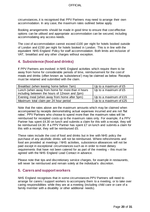circumstances, it is recognised that PPV Partners may need to arrange their own accommodation. In any case, the maximum rates outlined below apply.

Booking arrangements should be made in good time to ensure that cost effective options can be utilised and appropriate accommodation can be secured, including accommodating any access needs.

The cost of accommodation cannot exceed £100 per night for hotels booked outside of London and £150 per night for hotels booked in London. This is in line with the equivalent NHS England Policy for staff accommodation. Both limits are inclusive of VAT, breakfast and any other charges without exception.

### **4. Subsistence (food and drinks)**

If PPV Partners are involved in NHS England activities which require them to be away from home for considerable periods of time, reimbursement for the cost of meals and drinks (often known as 'subsistence') may be claimed as below. Receipts must be retained and submitted with the claim.

| Breakfast (when leaving home before 7am)         | Up to a maximum of £5  |
|--------------------------------------------------|------------------------|
| Lunch (when away from home for more than 4 hours | Up to a maximum of £5  |
| including between the hours of 12noon and 2pm)   |                        |
| Evening meal (when away from home after 5pm)     | Up to a maximum of £15 |
| Maximum total claim per 24 hour period           | Up to a maximum of £25 |

Note that the rates above are the maximum amounts which may be claimed when accompanied by receipts demonstrating actual expenses incurred and are not 'flat rates'. PPV Partners who choose to spend more than the maximum rates will be reimbursed for receipted costs up to the maximum rates only. For example, if a PPV Partner has spent £4.30 on lunch and submits a claim for this with a receipt, they will be reimbursed £4.30. If a PPV Partner has spent £7 on lunch and submits a claim for this with a receipt, they will be reimbursed £5.

These rates include the cost of food and drinks but in line with NHS policy the purchase of any alcoholic drinks will not be reimbursed. Where refreshments and food are provided at meetings / NHS activities, subsistence allowances will not be paid except in exceptional circumstances such as in order to meet dietary requirements that have not been catered for as part of the meeting – this must be agreed with the NHS England Lead Contact in advance.

Please note that tips and discretionary service charges, for example in restaurants, will never be reimbursed and remain solely at the individual's discretion.

### **5. Carers and support workers**

NHS England recognises that in some circumstances PPV Partners will need to arrange for carers / support workers to accompany them to a meeting, or to take over caring responsibilities while they are at a meeting (including child care or care of a family member with a disability or other additional needs).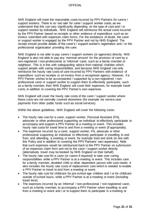NHS England will meet the reasonable costs incurred by PPV Partners for carers / support workers. There is no 'set rate' for carer / support worker costs, as we understand that this can vary significantly depending on the type of care and / or support needed by individuals. NHS England will reimburse the actual costs incurred by the PPV Partner based on receipts or other evidence of expenditure such as an invoice submitted with expenses claim forms. For the avoidance of doubt, the carer or support worker is engaged by the PPV Partner and not by NHS England. The receipt should provide details of the carer's / support worker's registration and / or the professional organisation providing the care.

NHS England is not able to pay carers / support workers (or agencies) directly. NHS England is also not able to pay any 'nominal amount' for the provision of care by a non-registered / non-professional or 'informal' carer, such as a family member or neighbour. This is in line with safeguarding advice from national charities which support people with caring responsibilities and because NHS England can only reimburse the hourly rate costs of care incurred by PPV Partners with evidence of expenditure such as receipts or an invoice from a recognised agency. However, if a PPV Partner wishes to be accompanied / supported by a non-registered / nonprofessional carer or support worker to support them to effectively participate, such as a family member, then NHS England will cover their expenses, for example travel costs, in addition to covering the PPV Partner's own expenses.

NHS England will cover the hourly rate costs of the carer / support worker where these costs are not normally covered elsewhere (for example via service user payments from other public funds such as social services).

Within the above guidelines, NHS England will cover the following costs:

- The hourly rate cost for a carer, support worker, Personal Assistant (PA), advocate or other professional supporting an individual to effectively participate to accompany and support a PPV Partner at a meeting or event. This includes hourly rate costs for travel time to and from a meeting or event (if appropriate).
- The expenses incurred by a carer, support worker, PA, advocate or other professional supporting an individual to effectively participate in travelling to and from, and attending, a meeting or event, for example food and drink (in line with this Policy and in addition to covering the PPV Partners' own expenses). Note that such expenses would be reimbursed back to the PPV Partner on submission of an expenses claim form and not to the carer / support worker directly (alternatively travel may be booked by NHS England on their behalf).
- The hourly rate cost for a carer (or carers if required) to take over caring responsibilities while a PPV Partner is at a meeting or event. This includes care for a family member, disabled child or other dependent person with care needs. It also includes the hourly rate costs of replacement care which is needed to enable a PPV Partner to travel to and from a meeting or event.
- The hourly rate cost for childcare for pre-school age children and / or for childcare outside of school hours, while a PPV Partner is at a meeting or event (including travel time).
- The expenses incurred by an 'informal' / non-professional / non-registered carer, such as a family member, to accompany a PPV Partner when travelling to and from a meeting or event and / or to support them to participate in a meeting or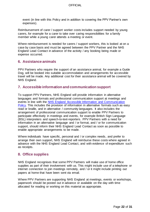event (in line with this Policy and in addition to covering the PPV Partner's own expenses).

Reimbursement of carer / support worker costs includes support needed by young carers, for example for a carer to take over caring responsibilities for a family member while a young carer attends a meeting or event.

Where reimbursement is needed for carers / support workers, this is looked at on a case by case basis and must be agreed between the PPV Partner and the NHS England Lead Contact in advance of the activity / any booking being made or expense occurred.

### **6. Assistance animals**

PPV Partners who require the support of an assistance animal, for example a Guide Dog, will be booked into suitable accommodation and arrangements for accessible travel will be made. Any additional cost for their assistance animal will be covered by NHS England.

### **7. Accessible information and communication support**

To support PPV Partners, NHS England will provide information in alternative languages and formats and professional communication support at meetings and events in line with the [NHS England Accessible Information and Communication](https://www.england.nhs.uk/wp-content/uploads/2016/11/nhse-access-info-comms-policy.docx)  [Policy.](https://www.england.nhs.uk/wp-content/uploads/2016/11/nhse-access-info-comms-policy.docx) This includes the provision of information in alternative formats such as easy read or braille, and in alternative / community languages. It also includes the arrangement of professional communication support to enable PPV Partners to participate effectively in meetings and events, for example British Sign Language (BSL) interpreters and speech-to-text-reporters. PPV Partners with a need for information in an alternative language and / or format, and / or for communication support, should inform their NHS England Lead Contact as soon as possible to enable appropriate arrangements to be made.

Where individuals have specific, personal and / or complex needs, and prefer to arrange their own support, NHS England will reimburse these costs where agreed in advance with the NHS England Lead Contact, and with evidence of expenditure such as receipts.

## **8. Office supplies**

NHS England recognises that some PPV Partners will make use of home office supplies as part of their involvement with us. This might include use of a telephone or internet connection to join meetings remotely, and / or it might include printing out papers at home that have been sent via email.

Where PPV Partners are supporting NHS England at meetings, events or workshops, paperwork should be posted out in advance or available on the day with time allocated for reading or working on this material as appropriate.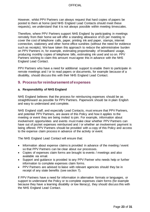However, whilst PPV Partners can always request that hard copies of papers be posted to them at home (and NHS England Lead Contacts should meet these requests), we understand that it is not always possible within meeting timescales.

Therefore, where PPV Partners support NHS England by participating in meetings remotely from their home we will offer a standing allowance of £5 per meeting to cover the cost of telephone calls, paper, printing ink and paper, stamps, internet connection, stationery and other home office sundries (without the need for evidence such as receipts). We have taken this approach to reduce the administrative burden on PPV Partners in, for example, estimating proportionality of broadband usage, producing monthly copies of telephone bills, estimating ink used and so on. PPV Partners wishing to claim this amount must agree this in advance with the NHS England Lead Contact.

PPV Partners who have a need for additional support to enable them to participate in remote meetings and / or to read papers or documents, for example because of a disability, should discuss this with their NHS England Lead Contact.

### **9. Process for reimbursement of expenses**

#### **a. Responsibility of NHS England**

NHS England believes that the process for reimbursing expenses should be as straightforward as possible for PPV Partners. Paperwork should be in plain English and easy to understand and complete.

NHS England staff, and especially Lead Contacts, must ensure that PPV Partners, and potential PPV Partners, are aware of this Policy and how it applies to the meeting or event they are being invited to join. For example, information about involvement opportunities and events must make clear whether PPV Partners can have out of pocket expenses reimbursed and / or whether an involvement payment is being offered. PPV Partners should be provided with a copy of this Policy and access to the expense claim process in advance of the activity or event.

The NHS England Lead Contact will ensure that:

- Information about expense claims is provided in advance of the meeting / event so that PPV Partners can be clear about our processes.
- Copies of expenses claim forms are brought to events / meetings and also available via email.
- Support and guidance is provided to any PPV Partner who needs help or further information to complete expenses claim forms.
- PPV Partners are advised to liaise with relevant agencies should they be in receipt of any state benefits (see section 7).

If PPV Partners have a need for information in alternative formats or languages, or support to understand the Policy or to complete expenses claim forms (for example because they have a learning disability or low literacy), they should discuss this with the NHS England Lead Contact.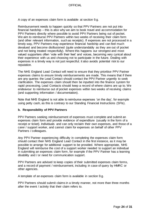A copy of an expenses claim form is available at section 9.g.

Reimbursement needs to happen quickly so that PPV Partners are not put into financial hardship – this is also why we aim to book travel and accommodation for PPV Partners directly where possible to avoid PPV Partners being out of pocket. We aim to reimburse PPV Partners within two weeks of receiving their claim form (and other relevant information, such as receipts). If expenses are not processed in a timely way, PPV Partners may experience financial hardship and can feel much devalued and become disillusioned (quite understandably as they are out of pocket and not being treated respectfully). Where this happens our strongest and most valued supporters often 'vote with their feet' and voices, becoming very cynical about their experience with us and choosing not to participate in the future. Dealing with expenses in a timely way is not just respectful; it also avoids potential risk to our reputation.

The NHS England Lead Contact will need to ensure that they prioritise PPV Partner expenses claims to ensure timely reimbursements are made. This means that if there are any queries the Lead Contact should contact the PPV Partner urgently to seek clarification. The expenses claim should then be inputted into the finance system for rapid processing. Lead Contacts should keep a record of where claims are up to. We endeavour to reimburse out of pocket expenses within two weeks of receiving claims (and supporting information / documentation).

Note that NHS England is not able to reimburse expenses 'on the day', for example using petty cash, as this is contrary to our Standing Financial Instructions (SFIs).

#### **b. Responsibility of PPV Partners**

PPV Partners seeking reimbursement of expenses must complete and submit an expenses claim form and provide evidence of expenditure (usually in the form of a receipt or ticket). Individuals and can only reclaim their own expenses, and those of a carer / support worker, and cannot claim for expenses on behalf of other PPV Partners / colleagues.

Any PPV Partner experiencing difficulty in completing the expenses claim form should contact their NHS England Lead Contact in the first instance, as it may be possible to arrange for additional support to be provided. Where appropriate, NHS England will reimburse the cost of a support worker needed to support an individual in submitting an expenses claim form, for example if the PPV Partner has a learning disability and / or need for communication support.

PPV Partners are advised to keep copies of their submitted expenses claim forms, and a record of payment / reimbursement, including in case of query by HMRC or other agencies.

A template of an expenses claim form is available in section 9.g.

PPV Partners should submit claims in a timely manner, not more than three months after the event / activity that their claim refers to.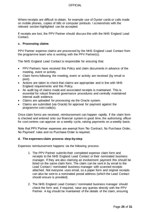Where receipts are difficult to obtain, for example use of Oyster cards or calls made on mobile phones, copies of bills or computer printouts / screenshots with the relevant section highlighted can be accepted.

If receipts are lost, the PPV Partner should discuss this with the NHS England Lead Contact.

#### **c. Processing claims**

PPV Partner expense claims are processed by the NHS England Lead Contact from the programme team who is working with the PPV Partner(s).

The NHS England Lead Contact is responsible for ensuring that:

- PPV Partners have received this Policy and claim documents in advance of the meeting, event or activity.
- Claim forms following the meeting, event or activity are received (by email or post).
- Actions are taken to check that claims are appropriate and in line with NHS England requirements and this Policy.
- An audit log of claims made and associated receipts is maintained. This is essential for robust financial governance procedures and centrally maintained internal audit evidence.
- Claims are uploaded for processing via the Oracle system.
- Claims are submitted (via Oracle) for approval for payment against the programme cost code(s).

Once claim forms are received, reimbursement can happen rapidly. If the claim form is checked and entered onto our financial system in good time, the authorising officer for cost centres can approve on a weekly cycle, raising payments on a weekly basis.

Note that PPV Partner expenses are exempt from 'No Contract, No Purchase Order, No Payment' rules and no Purchase Order is required.

#### **d. The expenses claim process step-by-step**

Expenses reimbursement happens via the following process:

- 1. The PPV Partner submits their completed expense claim form and receipts to the NHS England Lead Contact or their nominated business manager. If they are also claiming an involvement payment this should be listed on the same claim form. The claim can be sent in by email to the Lead Contact / nominated business manager with scanned receipts attached. Not everyone uses email, so a paper form and original receipts can also be sent to a nominated postal address (which the Lead Contact should ensure is provided).
- 2. The NHS England Lead Contact / nominated business manager should check the form and, if required, raise any queries directly with the PPV Partner. A log should be maintained of the details of the claim, ensuring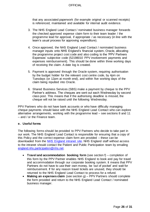that any associated paperwork (for example original or scanned receipts) is referenced, maintained and available for internal audit evidence.

- 3. The NHS England Lead Contact / nominated business manager forwards the checked approved expense claim form to their team leader / the programme lead for approval, if appropriate / as necessary (in line with the team's usual process for approving expenditure).
- 4. Once approved, the NHS England Lead Contact / nominated business manager inputs onto NHS England's financial system, Oracle, allocating the programme project cost code and also coding to the 'PPV Partners Expenses' subjective code (52198010 PPV involvement payments and expenses reimbursement). This should be done within three working days of receiving the claim. A date log is created.
- 5. Payment is approved through the Oracle system, requiring authorisation by the budget holder for the relevant cost centre code, by 4pm on Tuesdays (or 12pm at month end), and within five working days of the claim being inputted into Oracle.
- 6. Shared Business Services (SBS) make a payment by cheque to the PPV Partner's address. The cheques are sent out each Wednesday by second class post. This means that if the authorising deadline is missed, the cheque will not be raised until the following Wednesday.

PPV Partners who do not have bank accounts or who have difficulty managing cheque payments should liaise with the NHS England Lead Contact who can explore alternative arrangements, working with the programme lead – see sections 8 and 11 – and / or the Finance team.

#### **e. Useful forms**

The following forms should be provided to PPV Partners who decide to take part in our work. The NHS England Lead Contact is responsible for ensuring that a copy of this Policy and the correct expense claim form are provided – these can be downloaded from the [NHS England intranet site.](https://nhsengland.sharepoint.com/TeamCentre/Nursing/PPPI/Pages/PPVexpenses.aspx) NHS England staff without access to the intranet should contact the Patient and Public Participation team by emailing [england.nhs.participation@nhs.net.](mailto:england.nhs.participation@nhs.net) 

- **Travel and accommodation booking form** (see section f) completion of this form by the PPV Partner enables NHS England to book and pay for travel and accommodation through our corporate booking system. It means that PPV Partners do not have to use their own money, be 'out of pocket' and wait for reimbursement. If for any reason travel tickets are unused, they should be returned to the NHS England Lead Contact to process for a refund.
- **Making an expenses claim** (see section g) PPV Partners should complete the form provided and return to the NHS England Lead Contact / nominated business manager.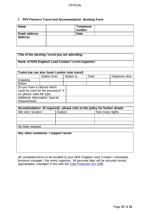### **f. PPV Partners Travel and Accommodation Booking Form**

| <b>Name</b>          | Telephone<br>number |  |
|----------------------|---------------------|--|
| <b>Email address</b> | <b>Date</b>         |  |
| <b>Address</b>       |                     |  |

### **Title of the meeting / event you are attending:**

### **Name of NHS England Lead Contact / event organiser:**

| Trains (we can also book London tube travel)                                                       |              |            |      |                |  |
|----------------------------------------------------------------------------------------------------|--------------|------------|------|----------------|--|
|                                                                                                    | Station from | Station to | Date | Departure time |  |
| Outgoing                                                                                           |              |            |      |                |  |
| Return                                                                                             |              |            |      |                |  |
| Do you have a railcard which<br>could be used for the journey(s)? If<br>so, please state the type. |              |            |      |                |  |
| Additional Information/ Special<br>Requirements                                                    |              |            |      |                |  |

| Accommodation (if required) - please refer to the policy for further details |  |  |  |  |  |  |
|------------------------------------------------------------------------------|--|--|--|--|--|--|
| Site visit / location<br>Date(s)<br>How many nights                          |  |  |  |  |  |  |
|                                                                              |  |  |  |  |  |  |
|                                                                              |  |  |  |  |  |  |
|                                                                              |  |  |  |  |  |  |
| No hotel required                                                            |  |  |  |  |  |  |

| Any other comments / support needs |  |
|------------------------------------|--|
|                                    |  |
|                                    |  |
|                                    |  |
|                                    |  |

All completed forms to be emailed to your NHS England Lead Contact / nominated business manager / the event organiser. All personal data will be securely stored, appropriately managed in line with the [Data Protection Act 1998.](http://www.legislation.gov.uk/ukpga/1998/29/contents)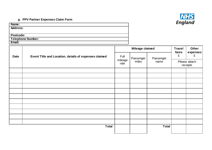

## **g. PPV Partner Expenses Claim Form**

| Name:             |  |
|-------------------|--|
| <b>Address:</b>   |  |
|                   |  |
| <b>Postcode:</b>  |  |
| Telephone Number: |  |
| Email:            |  |

|             |                                                       | Mileage claimed          |           |                           | <b>Travel</b> | Other         |
|-------------|-------------------------------------------------------|--------------------------|-----------|---------------------------|---------------|---------------|
| <b>Date</b> | Event Title and Location, details of expenses claimed | Full                     | Passenger | Passenger                 | fares<br>£    | expenses<br>£ |
|             |                                                       | mileage<br>miles<br>rate | name      | Please attach<br>receipts |               |               |
|             |                                                       |                          |           |                           |               |               |
|             |                                                       |                          |           |                           |               |               |
|             |                                                       |                          |           |                           |               |               |
|             |                                                       |                          |           |                           |               |               |
|             |                                                       |                          |           |                           |               |               |
|             |                                                       |                          |           |                           |               |               |
|             |                                                       |                          |           |                           |               |               |
|             |                                                       |                          |           |                           |               |               |
|             |                                                       |                          |           |                           |               |               |
|             |                                                       |                          |           |                           |               |               |
|             |                                                       |                          |           |                           |               |               |
|             | <b>Total</b>                                          |                          |           | <b>Total</b>              |               |               |
|             |                                                       |                          |           |                           |               |               |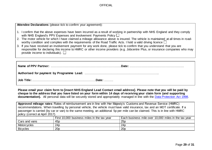| Attendee Declarations (please tick to confirm your agreement):                                                                                                                                                                                                                                      |  |  |  |
|-----------------------------------------------------------------------------------------------------------------------------------------------------------------------------------------------------------------------------------------------------------------------------------------------------|--|--|--|
| 1. I confirm that the above expenses have been incurred as a result of working in partnership with NHS England and they comply<br>with NHS England's PPV Expenses and Involvement Payments Policy $\Box$                                                                                            |  |  |  |
| 2. The motor vehicle for which I have claimed a mileage allowance above is insured. The vehicle is maintained at all times in road-<br>worthy condition and complies with the requirements of the Road Traffic Acts. I hold a valid driving licence $\Box$                                          |  |  |  |
| 3. If you have received an involvement payment for any work done, please tick to confirm that you understand that you are<br>responsible for declaring this income to HMRC or other income providers (e.g. Jobcentre Plus, or insurance companies who may<br>provide income to individuals). $\Box$ |  |  |  |
|                                                                                                                                                                                                                                                                                                     |  |  |  |

| Name of PPV Partner: …………………………………………………………………Date: …………………………………………………… |
|--------------------------------------------------------------------------|
|                                                                          |
|                                                                          |

**Please email your claim form to [insert NHS England Lead Contact email address]. Please note that you will be paid by cheque to the address that you have listed on your form within 14 days of receiving your claim form (and supporting documentation).** All personal data will be securely stored and appropriately managed in line with the [Data Protection Act 1998.](http://www.legislation.gov.uk/ukpga/1998/29/contents)

**Approved mileage rates**: Rates of reimbursement are in line with Her Majesty's Customs and Revenue Service (HMRC) recommendations. When travelling by personal vehicle, the vehicle must have valid insurance, tax and an MOT certificate. If a passenger is carried (by car or van) to the same meeting, an additional 5p per mile can be claimed. This is in line with HMRC policy (correct at April 2017).

|                 | First 10,000 business miles in the tax year | 10,000 miles in the tax year<br>Each business mile over |
|-----------------|---------------------------------------------|---------------------------------------------------------|
| Cars and vans   | 45 <sub>p</sub>                             | 25p                                                     |
| Motorcycles     | 24p                                         | 24p                                                     |
| <b>Bicycles</b> | 20p                                         | 20p                                                     |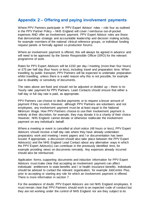# <span id="page-29-0"></span>**Appendix 2 – Offering and paying involvement payments**

Where PPV Partners participate in 'PPV Expert Advisor' roles – role four as outlined in the PPV Partner Policy – NHS England will cover / reimburse out-of-pocket expenses AND offer an involvement payment. PPV Expert Advisor roles are those that demonstrate strategic and accountable leadership and decision making activity, for example members of the national clinical reference groups, or individual funding request panels or formally agreed co-production forums.

Where an involvement payment is offered, this will always be agreed in advance and will need to be approved by the Senior Responsible Officer (SRO) for the relevant programme of work.

Rates for PPV Expert Advisors will be £150 per day / meeting (more than four hours) or £75 per half day (four hours or less), including travel and preparation time. When travelling by public transport, PPV Partners will be expected to undertake preparation whilst travelling, unless there is a valid reason why this is not possible, for example due to disability or sensitivity of documents.

The rates above are fixed and should not be adjusted or divided up – there is no 'hourly rate' payment for PPV Partners. Lead Contacts should ensure that either a half day or full day rate is paid, as appropriate.

PPV Partners can choose to decline payments or to request a lesser amount of payment if they so wish. However, although PPV Partners are volunteers and not employees, any involvement payment must be at least equal to the National Minimum Wage. How PPV Partners choose to use their involvement payment is entirely at their discretion, for example, they may donate it to a charity of their choice. However, NHS England cannot donate or otherwise reallocate the involvement payment on any individual's behalf.

Where a meeting or event is cancelled at short notice (48 hours or less), PPV Expert Advisors should receive a half day rate where they have already undertaken preparatory work and meeting / event papers and / or documentation has been issued. If appropriate, a discussion should also take place between the PPV Expert Advisor(s) and the NHS England Lead Contact about any alternative ways in which the PPV Expert Advisor(s) can contribute in the previously identified time, for example providing views on documents remotely. Any expenses already incurred should also be reimbursed.

Application forms, supporting documents and induction information for PPV Expert Advisors must make clear that accepting an involvement payment can affect individuals' entitlement to state benefits and / or health insurance benefits. Individuals should be advised to contact the relevant organisation, for example JobCentre Plus, prior to accepting or starting any role for which an involvement payment is offered. There is more information in section 7.

For the avoidance of doubt, PPV Expert Advisors are not NHS England employees. It must remain clear that PPV Partners should work to an expected code of conduct but they are not working under the control of NHS England nor are they subject to its